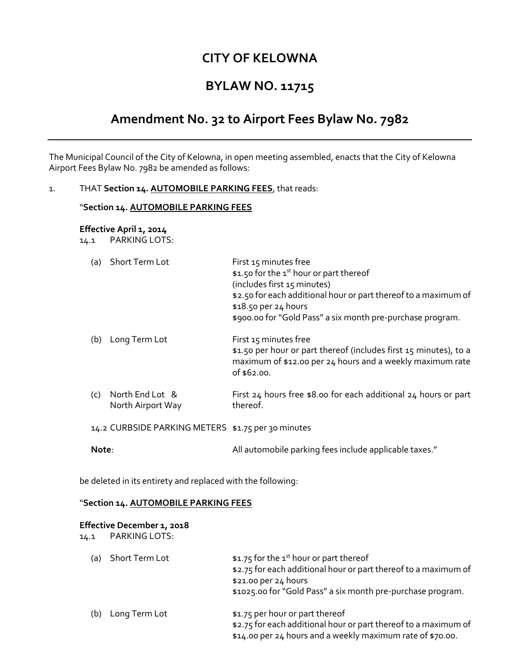## **CITY OF KELOWNA**

## **BYLAW NO. 11715**

# **Amendment No. 32 to Airport Fees Bylaw No. 7982**

The Municipal Council of the City of Kelowna, in open meeting assembled, enacts that the City of Kelowna Airport Fees Bylaw No. 7982 be amended as follows:

#### 1. THAT **Section 14. AUTOMOBILE PARKING FEES**, that reads:

#### "**Section 14. AUTOMOBILE PARKING FEES**

### **Effective April 1, 2014**

14.1 PARKING LOTS:

| (a)                                                | Short Term Lot                       | First 15 minutes free<br>\$1.50 for the 1 <sup>st</sup> hour or part thereof<br>(includes first 15 minutes)<br>\$2.50 for each additional hour or part thereof to a maximum of<br>\$18.50 per 24 hours<br>\$900.00 for "Gold Pass" a six month pre-purchase program. |
|----------------------------------------------------|--------------------------------------|----------------------------------------------------------------------------------------------------------------------------------------------------------------------------------------------------------------------------------------------------------------------|
| (b)                                                | Long Term Lot                        | First 15 minutes free<br>\$1.50 per hour or part thereof (includes first 15 minutes), to a<br>maximum of \$12.00 per 24 hours and a weekly maximum rate<br>of \$62.00.                                                                                               |
| (c)                                                | North End Lot &<br>North Airport Way | First 24 hours free \$8.00 for each additional 24 hours or part<br>thereof.                                                                                                                                                                                          |
| 14.2 CURBSIDE PARKING METERS \$1.75 per 30 minutes |                                      |                                                                                                                                                                                                                                                                      |
| Note:                                              |                                      | All automobile parking fees include applicable taxes."                                                                                                                                                                                                               |

be deleted in its entirety and replaced with the following:

#### "**Section 14. AUTOMOBILE PARKING FEES**

#### **Effective December 1, 2018**

| 14.1 | PARKING LOTS:  |                                                                                                                                                                                                               |
|------|----------------|---------------------------------------------------------------------------------------------------------------------------------------------------------------------------------------------------------------|
| (a)  | Short Term Lot | \$1.75 for the 1 <sup>st</sup> hour or part thereof<br>\$2.75 for each additional hour or part thereof to a maximum of<br>\$21.00 per 24 hours<br>\$1025.00 for "Gold Pass" a six month pre-purchase program. |
| (b)  | Long Term Lot  | \$1.75 per hour or part thereof<br>\$2.75 for each additional hour or part thereof to a maximum of<br>\$14.00 per 24 hours and a weekly maximum rate of \$70.00.                                              |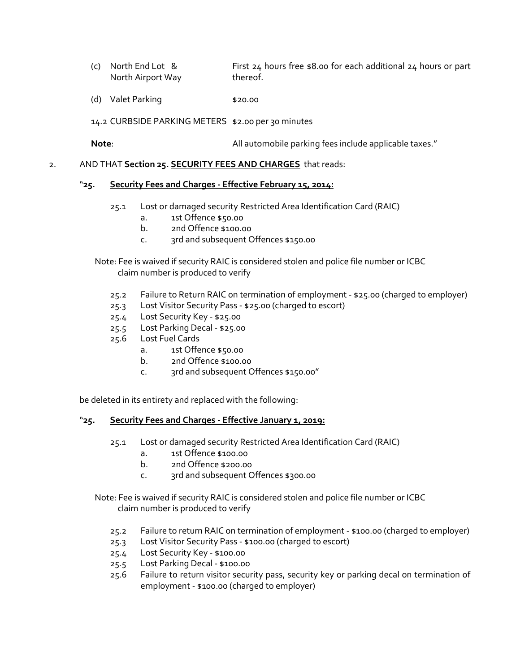- (c) North End Lot & First 24 hours free \$8.00 for each additional 24 hours or part North Airport Way thereof.
- (d) Valet Parking \$20.00

14.2 CURBSIDE PARKING METERS \$2.00 per 30 minutes

**Note:** All automobile parking fees include applicable taxes."

#### 2. AND THAT **Section 25. SECURITY FEES AND CHARGES** that reads:

#### "**25. Security Fees and Charges - Effective February 15, 2014:**

- 25.1 Lost or damaged security Restricted Area Identification Card (RAIC)
	- a. 1st Offence \$50.00
	- b. 2nd Offence \$100.00
	- c. 3rd and subsequent Offences \$150.00

Note: Fee is waived if security RAIC is considered stolen and police file number or ICBC claim number is produced to verify

- 25.2 Failure to Return RAIC on termination of employment \$25.00 (charged to employer)
- 25.3 Lost Visitor Security Pass \$25.00 (charged to escort)
- 25.4 Lost Security Key \$25.00
- 25.5 Lost Parking Decal \$25.00
- 25.6 Lost Fuel Cards
	- a. 1st Offence \$50.00
	- b. 2nd Offence \$100.00
	- c. 3rd and subsequent Offences \$150.00"

be deleted in its entirety and replaced with the following:

#### "**25. Security Fees and Charges - Effective January 1, 2019:**

- 25.1 Lost or damaged security Restricted Area Identification Card (RAIC)
	- a. 1st Offence \$100.00
	- b. 2nd Offence \$200.00
	- c. 3rd and subsequent Offences \$300.00

Note: Fee is waived if security RAIC is considered stolen and police file number or ICBC claim number is produced to verify

- 25.2 Failure to return RAIC on termination of employment \$100.00 (charged to employer)
- 25.3 Lost Visitor Security Pass \$100.00 (charged to escort)
- 25.4 Lost Security Key \$100.00
- 25.5 Lost Parking Decal \$100.00
- 25.6 Failure to return visitor security pass, security key or parking decal on termination of employment - \$100.00 (charged to employer)